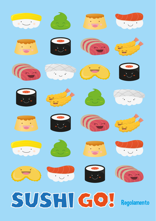# **Red & Miller ES Construction TAGE** 3 第 4 D. C. C. **Code & Miller** COW S G SUSHI GO! Regolamento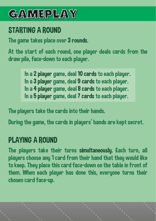## **GAMEPLAY**

#### STARTING A ROUND

The game takes place over 3 rounds.

At the start of each round, one player deals cards from the draw pile, face-down to each player.

> In a 2 player game, deal 10 cards to each player. In a 3 player game, deal 9 cards to each player. In a 4 player game, deal 8 cards to each player. In a 5 player game, deal 7 cards to each player.

The players take the cards into their hands.

During the game, the cards in players' hands are kept secret.

#### PLAYING A ROUND

The players take their turns simultaneously. Each turn, all players choose any 1 card from their hand that they would like to keep. They place this card face-down on the table in front of them. When each player has done this, everyone turns their chosen card face-up.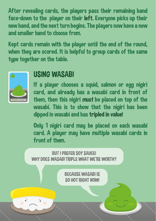After revealing cards, the players pass their remaining hand face-down to the player on their left. Everyone picks up their new hand, and the next turn begins. The players now have a new and smaller hand to choose from.

Kept cards remain with the player until the end of the round, when they are scored. It is helpful to group cards of the same tupe together on the table.



#### USING WASABI

If a player chooses a squid, salmon or egg nigiri card, and already has a wasabi card in front of them, then this nigiri *must* be placed on top of the wasabi. This is to show that the nigiri has been dipped in wasabi and has tripled in value!

Only 1 nigiri card may be placed on each wasabi card. A player may have multiple wasabi cards in front of them.

**BUT I PREFER SOY SAUCE!** WHY DOES *WASARI* TRIPLE WHAT WE'RE WORTH?

> BECAUSE WASABI IS SO HOT RIGHT NOW!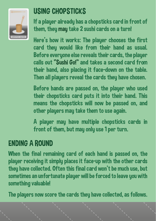

#### USING CHOPSTICKS

If a player already has a chopsticks card in front of them, they may take 2 sushi cards on a turn!

Here's how it works: The player chooses the first card they would like from their hand as usual. Before everyone else reveals their cards, the player calls out "Sushi Go!" and takes a second card from their hand, also placing it face-down on the table. Then all players reveal the cards they have chosen.

Before hands are passed on, the player who used their chopsticks card puts it into their hand. This means the chopsticks will now be passed on, and other players may take them to use again.

A player may have multiple chopsticks cards in front of them, but may only use 1 per turn.

#### ENDING A ROUND

When the final remaining card of each hand is passed on, the player receiving it simply places it face-up with the other cards they have collected. Often this final card won't be much use, but sometimes an unfortunate player will be forced to leave you with something valuable!

The players now score the cards they have collected, as follows.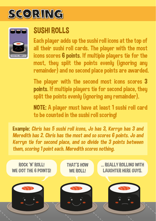## **SCORING**



#### SUSHI ROLLS

Each player adds up the sushi roll icons at the top of all their sushi roll cards. The player with the most icons scores 6 points. If multiple players tie for the most, they split the points evenly (ignoring any remainder) and no second place points are awarded.

The player with the second most icons scores 3 points. If multiple players tie for second place, they split the points evenly (ignoring any remainder).

NOTE: A player must have at least 1 sushi roll card to be counted in the sushi roll scoring!

Example: *Chris has 5 sushi roll icons, Jo has 3, Kerryn has 3 and Meredith has 2. Chris has the most and so scores 6 points. Jo and Kerryn tie for second place, and so divide the 3 points between them, scoring 1 point each. Meredith scores nothing.* 

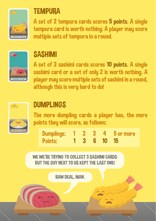

#### **TEMPURA**

A set of 2 tempura cards scores 5 points. A single tempura card is worth nothing. A player may score multiple sets of tempura in a round.



#### **SASHIMI**

A set of 3 sashimi cards scores 10 points. A single sashimi card or a set of only 2 is worth nothing. A player may score multiple sets of sashimi in a round, although this is very hard to do!



#### DUMPLINGS

The more dumpling cards a player has, the more points they will score, as follows:

| Dumplings: 1 2 3 4 5 or more |  |             |  |
|------------------------------|--|-------------|--|
| <b>Points:</b>               |  | 1 3 6 10 15 |  |

WE WE'RE TRYING TO COLLECT 3 SASHIMI CARDS. BUT THE GUY NEXT TO US KEPT THE LAST ONE!

RAW DEAL, MAN.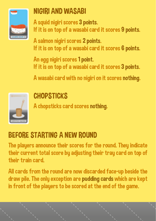

#### NIGIRI AND WASABI

A squid nigiri scores 3 points. If it is on top of a wasabi card it scores 9 points.

A salmon nigiri scores 2 points. If it is on top of a wasabi card it scores 6 points.

An egg nigiri scores 1 point. If it is on top of a wasabi card it scores 3 points.

A wasabi card with no nigiri on it scores nothing.



#### **CHOPSTICKS**

A chopsticks card scores nothing.

### BEFORE STARTING A NEW ROUND

The players announce their scores for the round. They indicate their current total score by adjusting their tray card on top of their train card.

All cards from the round are now discarded face-up beside the draw pile. The only exception are pudding cards which are kept in front of the players to be scored at the end of the game.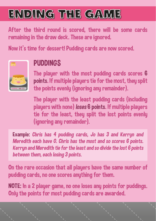## **ENDING THE GAME**

After the third round is scored, there will be some cards remaining in the draw deck. These are ignored.

Now it's time for dessert! Pudding cards are now scored.



#### PUDDINGS

The player with the most pudding cards scores 6 points. If multiple players tie for the most, they split the points evenly (ignoring any remainder).

The player with the least pudding cards (including players with none) *loses* 6 points. If multiple players tie for the least, they split the lost points evenly (ignoring any remainder).

Example: *Chris has 4 pudding cards, Jo has 3 and Kerryn and Meredith each have 0. Chris has the most and so scores 6 points. Kerryn and Meredith tie for the least and so divide the lost 6 points between them, each losing 3 points.*

On the rare occasion that all players have the same number of pudding cards, no one scores anything for them.

NOTE: In a 2 player game, no one loses any points for puddings. Only the points for most pudding cards are awarded.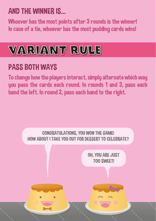#### AND THE WINNER IS...

Whoever has the most points after 3 rounds is the winner! In case of a tie, whoever has the most pudding cards wins!



#### PASS BOTH WAYS

To change how the players interact, simply alternate which way you pass the cards each round. In rounds 1 and 3, pass each hand the left. In round 2, pass each hand to the right.